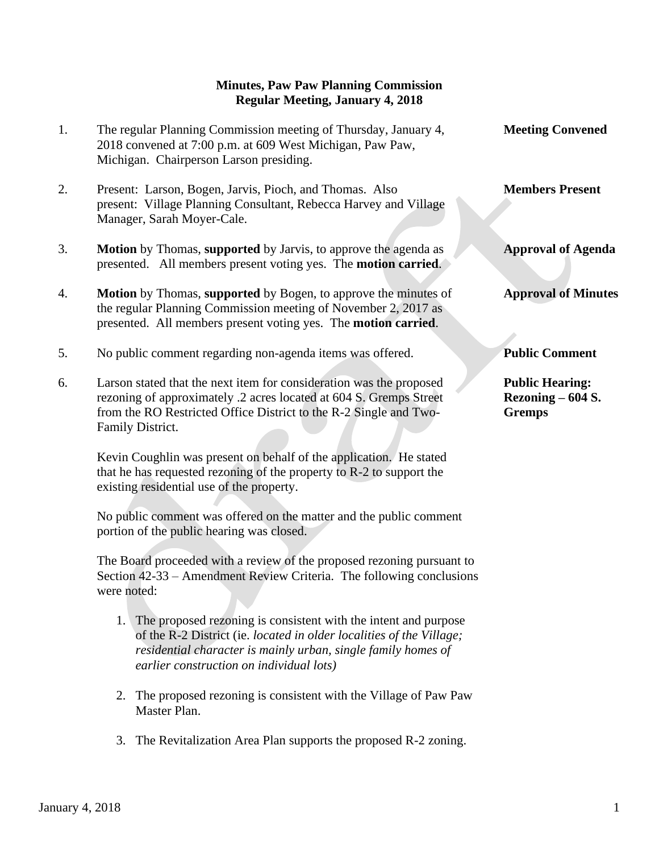## **Minutes, Paw Paw Planning Commission Regular Meeting, January 4, 2018**

- 1. The regular Planning Commission meeting of Thursday, January 4, **Meeting Convened** 2018 convened at 7:00 p.m. at 609 West Michigan, Paw Paw, Michigan. Chairperson Larson presiding.
- 2. Present: Larson, Bogen, Jarvis, Pioch, and Thomas. Also **Members Present** present: Village Planning Consultant, Rebecca Harvey and Village Manager, Sarah Moyer-Cale.
- 3. **Motion** by Thomas, **supported** by Jarvis, to approve the agenda as **Approval of Agenda** presented. All members present voting yes. The **motion carried**.
- 4. **Motion** by Thomas, **supported** by Bogen, to approve the minutes of **Approval of Minutes** the regular Planning Commission meeting of November 2, 2017 as presented. All members present voting yes. The **motion carried**.
- 5. No public comment regarding non-agenda items was offered. **Public Comment**
- 6. Larson stated that the next item for consideration was the proposed **Public Hearing:** rezoning of approximately .2 acres located at 604 S. Gremps Street **Rezoning – 604 S.** from the RO Restricted Office District to the R-2 Single and Two- **Gremps** Family District.

 Kevin Coughlin was present on behalf of the application. He stated that he has requested rezoning of the property to R-2 to support the existing residential use of the property.

 No public comment was offered on the matter and the public comment portion of the public hearing was closed.

 The Board proceeded with a review of the proposed rezoning pursuant to Section 42-33 – Amendment Review Criteria. The following conclusions were noted:

- 1. The proposed rezoning is consistent with the intent and purpose of the R-2 District (ie. *located in older localities of the Village; residential character is mainly urban, single family homes of earlier construction on individual lots)*
- 2. The proposed rezoning is consistent with the Village of Paw Paw Master Plan.
- 3. The Revitalization Area Plan supports the proposed R-2 zoning.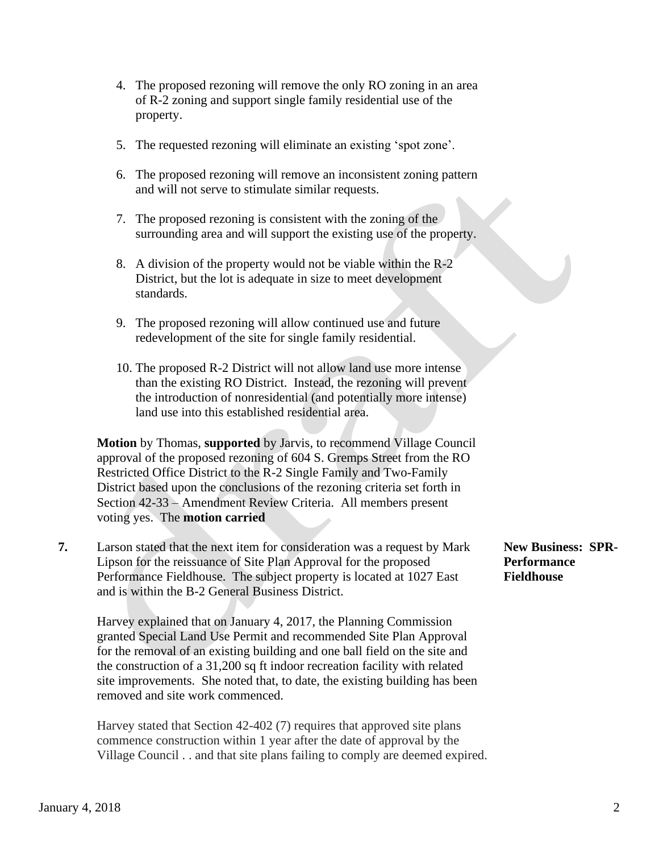- 4. The proposed rezoning will remove the only RO zoning in an area of R-2 zoning and support single family residential use of the property.
- 5. The requested rezoning will eliminate an existing 'spot zone'.
- 6. The proposed rezoning will remove an inconsistent zoning pattern and will not serve to stimulate similar requests.
- 7. The proposed rezoning is consistent with the zoning of the surrounding area and will support the existing use of the property.
- 8. A division of the property would not be viable within the R-2 District, but the lot is adequate in size to meet development standards.
- 9. The proposed rezoning will allow continued use and future redevelopment of the site for single family residential.
- 10. The proposed R-2 District will not allow land use more intense than the existing RO District. Instead, the rezoning will prevent the introduction of nonresidential (and potentially more intense) land use into this established residential area.

 **Motion** by Thomas, **supported** by Jarvis, to recommend Village Council approval of the proposed rezoning of 604 S. Gremps Street from the RO Restricted Office District to the R-2 Single Family and Two-Family District based upon the conclusions of the rezoning criteria set forth in Section 42-33 – Amendment Review Criteria. All members present voting yes. The **motion carried**

**7.** Larson stated that the next item for consideration was a request by Mark **New Business: SPR-** Lipson for the reissuance of Site Plan Approval for the proposed **Performance** Performance Fieldhouse. The subject property is located at 1027 East **Fieldhouse** and is within the B-2 General Business District.

 Harvey explained that on January 4, 2017, the Planning Commission granted Special Land Use Permit and recommended Site Plan Approval for the removal of an existing building and one ball field on the site and the construction of a 31,200 sq ft indoor recreation facility with related site improvements. She noted that, to date, the existing building has been removed and site work commenced.

 Harvey stated that Section 42-402 (7) requires that approved site plans commence construction within 1 year after the date of approval by the Village Council . . and that site plans failing to comply are deemed expired.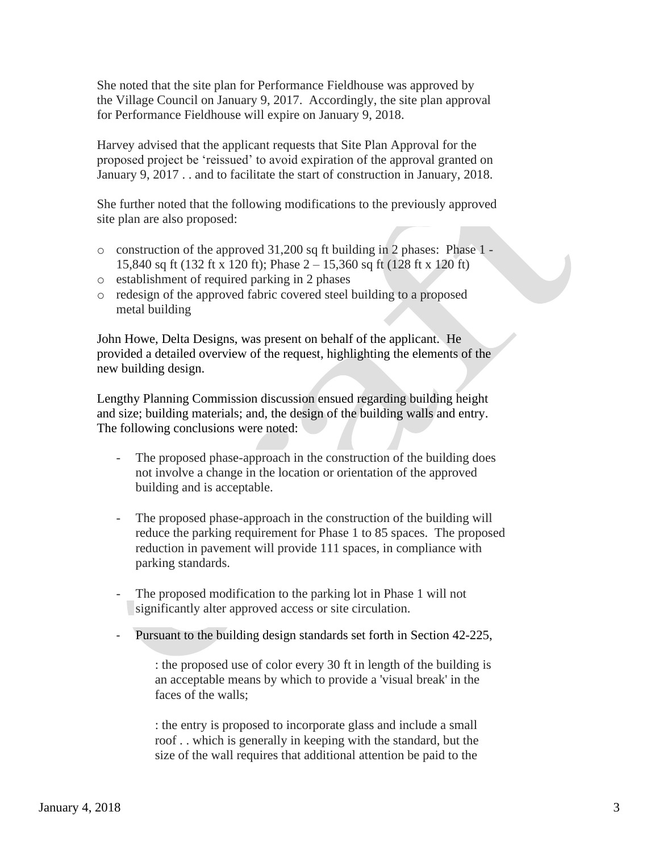She noted that the site plan for Performance Fieldhouse was approved by the Village Council on January 9, 2017. Accordingly, the site plan approval for Performance Fieldhouse will expire on January 9, 2018.

 Harvey advised that the applicant requests that Site Plan Approval for the proposed project be 'reissued' to avoid expiration of the approval granted on January 9, 2017 . . and to facilitate the start of construction in January, 2018.

 She further noted that the following modifications to the previously approved site plan are also proposed:

- o construction of the approved 31,200 sq ft building in 2 phases: Phase 1 15,840 sq ft (132 ft x 120 ft); Phase 2 – 15,360 sq ft (128 ft x 120 ft)
- o establishment of required parking in 2 phases
- o redesign of the approved fabric covered steel building to a proposed metal building

 John Howe, Delta Designs, was present on behalf of the applicant. He provided a detailed overview of the request, highlighting the elements of the new building design.

 Lengthy Planning Commission discussion ensued regarding building height and size; building materials; and, the design of the building walls and entry. The following conclusions were noted:

- The proposed phase-approach in the construction of the building does not involve a change in the location or orientation of the approved building and is acceptable.
- The proposed phase-approach in the construction of the building will reduce the parking requirement for Phase 1 to 85 spaces. The proposed reduction in pavement will provide 111 spaces, in compliance with parking standards.
- The proposed modification to the parking lot in Phase 1 will not significantly alter approved access or site circulation.
- Pursuant to the building design standards set forth in Section 42-225,

: the proposed use of color every 30 ft in length of the building is an acceptable means by which to provide a 'visual break' in the faces of the walls;

: the entry is proposed to incorporate glass and include a small roof . . which is generally in keeping with the standard, but the size of the wall requires that additional attention be paid to the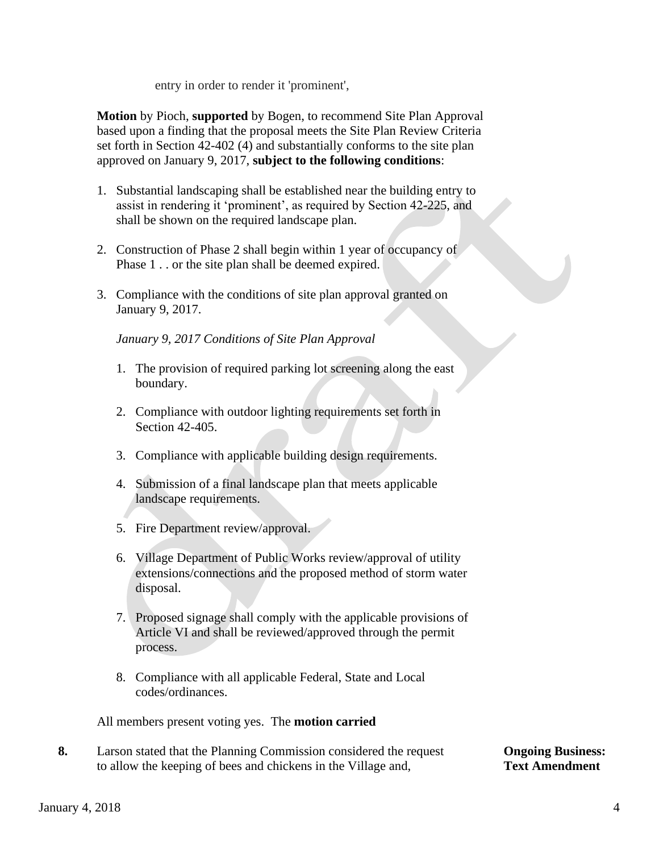entry in order to render it 'prominent',

 **Motion** by Pioch, **supported** by Bogen, to recommend Site Plan Approval based upon a finding that the proposal meets the Site Plan Review Criteria set forth in Section 42-402 (4) and substantially conforms to the site plan approved on January 9, 2017, **subject to the following conditions**:

- 1. Substantial landscaping shall be established near the building entry to assist in rendering it 'prominent', as required by Section 42-225, and shall be shown on the required landscape plan.
- 2. Construction of Phase 2 shall begin within 1 year of occupancy of Phase 1 . . or the site plan shall be deemed expired.
- 3. Compliance with the conditions of site plan approval granted on January 9, 2017.

*January 9, 2017 Conditions of Site Plan Approval*

- 1. The provision of required parking lot screening along the east boundary.
- 2. Compliance with outdoor lighting requirements set forth in Section 42-405.
- 3. Compliance with applicable building design requirements.
- 4. Submission of a final landscape plan that meets applicable landscape requirements.
- 5. Fire Department review/approval.
- 6. Village Department of Public Works review/approval of utility extensions/connections and the proposed method of storm water disposal.
- 7. Proposed signage shall comply with the applicable provisions of Article VI and shall be reviewed/approved through the permit process.
- 8. Compliance with all applicable Federal, State and Local codes/ordinances.

All members present voting yes. The **motion carried**

**8.** Larson stated that the Planning Commission considered the request **Ongoing Business:** to allow the keeping of bees and chickens in the Village and, **Text Amendment**